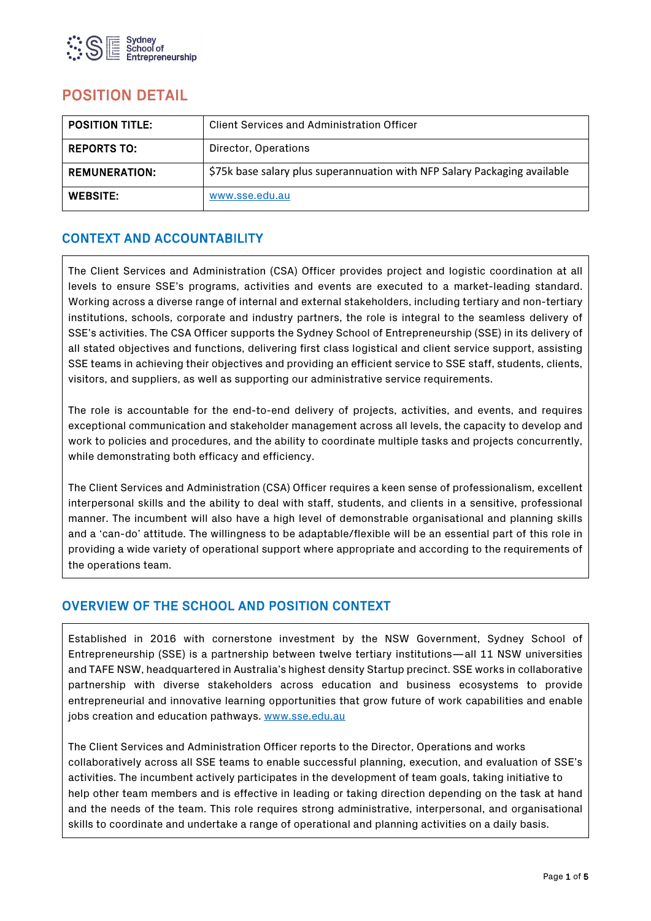

# POSITION DETAIL

| <b>POSITION TITLE:</b> | <b>Client Services and Administration Officer</b>                         |
|------------------------|---------------------------------------------------------------------------|
| <b>REPORTS TO:</b>     | Director, Operations                                                      |
| <b>REMUNERATION:</b>   | \$75k base salary plus superannuation with NFP Salary Packaging available |
| <b>WEBSITE:</b>        | www.sse.edu.au                                                            |

## CONTEXT AND ACCOUNTABILITY

The Client Services and Administration (CSA) Officer provides project and logistic coordination at all levels to ensure SSE's programs, activities and events are executed to a market-leading standard. Working across a diverse range of internal and external stakeholders, including tertiary and non-tertiary institutions, schools, corporate and industry partners, the role is integral to the seamless delivery of SSE's activities. The CSA Officer supports the Sydney School of Entrepreneurship (SSE) in its delivery of all stated objectives and functions, delivering first class logistical and client service support, assisting SSE teams in achieving their objectives and providing an efficient service to SSE staff, students, clients, visitors, and suppliers, as well as supporting our administrative service requirements.

The role is accountable for the end-to-end delivery of projects, activities, and events, and requires exceptional communication and stakeholder management across all levels, the capacity to develop and work to policies and procedures, and the ability to coordinate multiple tasks and projects concurrently, while demonstrating both efficacy and efficiency.

The Client Services and Administration (CSA) Officer requires a keen sense of professionalism, excellent interpersonal skills and the ability to deal with staff, students, and clients in a sensitive, professional manner. The incumbent will also have a high level of demonstrable organisational and planning skills and a 'can-do' attitude. The willingness to be adaptable/flexible will be an essential part of this role in providing a wide variety of operational support where appropriate and according to the requirements of the operations team.

## OVERVIEW OF THE SCHOOL AND POSITION CONTEXT

Established in 2016 with cornerstone investment by the NSW Government, Sydney School of Entrepreneurship (SSE) is a partnership between twelve tertiary institutions—all 11 NSW universities and TAFE NSW, headquartered in Australia's highest density Startup precinct. SSE works in collaborative partnership with diverse stakeholders across education and business ecosystems to provide entrepreneurial and innovative learning opportunities that grow future of work capabilities and enable jobs creation and education pathways[. www.sse.edu.au](http://www.sse.edu.au/)

The Client Services and Administration Officer reports to the Director, Operations and works collaboratively across all SSE teams to enable successful planning, execution, and evaluation of SSE's activities. The incumbent actively participates in the development of team goals, taking initiative to help other team members and is effective in leading or taking direction depending on the task at hand and the needs of the team. This role requires strong administrative, interpersonal, and organisational skills to coordinate and undertake a range of operational and planning activities on a daily basis.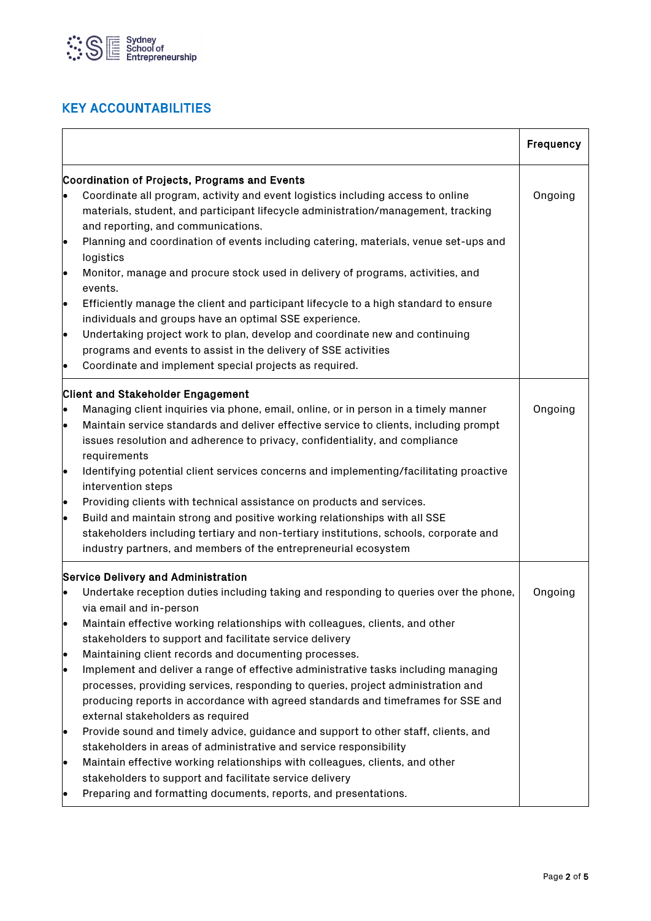

## KEY ACCOUNTABILITIES

|                 |                                                                                                                                                                                                                                                                                                                                          | Frequency |
|-----------------|------------------------------------------------------------------------------------------------------------------------------------------------------------------------------------------------------------------------------------------------------------------------------------------------------------------------------------------|-----------|
|                 | Coordination of Projects, Programs and Events                                                                                                                                                                                                                                                                                            |           |
| $\bullet$       | Coordinate all program, activity and event logistics including access to online<br>materials, student, and participant lifecycle administration/management, tracking<br>and reporting, and communications.                                                                                                                               | Ongoing   |
| e               | Planning and coordination of events including catering, materials, venue set-ups and<br>logistics                                                                                                                                                                                                                                        |           |
| lo              | Monitor, manage and procure stock used in delivery of programs, activities, and<br>events.                                                                                                                                                                                                                                               |           |
| I۰              | Efficiently manage the client and participant lifecycle to a high standard to ensure<br>individuals and groups have an optimal SSE experience.                                                                                                                                                                                           |           |
| þ               | Undertaking project work to plan, develop and coordinate new and continuing<br>programs and events to assist in the delivery of SSE activities<br>Coordinate and implement special projects as required.                                                                                                                                 |           |
|                 | <b>Client and Stakeholder Engagement</b><br>Managing client inquiries via phone, email, online, or in person in a timely manner                                                                                                                                                                                                          | Ongoing   |
| $\bullet$       | Maintain service standards and deliver effective service to clients, including prompt<br>issues resolution and adherence to privacy, confidentiality, and compliance<br>requirements                                                                                                                                                     |           |
| le.             | Identifying potential client services concerns and implementing/facilitating proactive<br>intervention steps                                                                                                                                                                                                                             |           |
| lo<br>$\bullet$ | Providing clients with technical assistance on products and services.<br>Build and maintain strong and positive working relationships with all SSE<br>stakeholders including tertiary and non-tertiary institutions, schools, corporate and<br>industry partners, and members of the entrepreneurial ecosystem                           |           |
|                 | <b>Service Delivery and Administration</b>                                                                                                                                                                                                                                                                                               |           |
|                 | Undertake reception duties including taking and responding to queries over the phone,<br>via email and in-person                                                                                                                                                                                                                         | Ongoing   |
| le              | Maintain effective working relationships with colleagues, clients, and other<br>stakeholders to support and facilitate service delivery                                                                                                                                                                                                  |           |
| le<br>$\bullet$ | Maintaining client records and documenting processes.<br>Implement and deliver a range of effective administrative tasks including managing<br>processes, providing services, responding to queries, project administration and<br>producing reports in accordance with agreed standards and timeframes for SSE and                      |           |
| $\bullet$       | external stakeholders as required<br>Provide sound and timely advice, guidance and support to other staff, clients, and<br>stakeholders in areas of administrative and service responsibility<br>Maintain effective working relationships with colleagues, clients, and other<br>stakeholders to support and facilitate service delivery |           |
|                 | Preparing and formatting documents, reports, and presentations.                                                                                                                                                                                                                                                                          |           |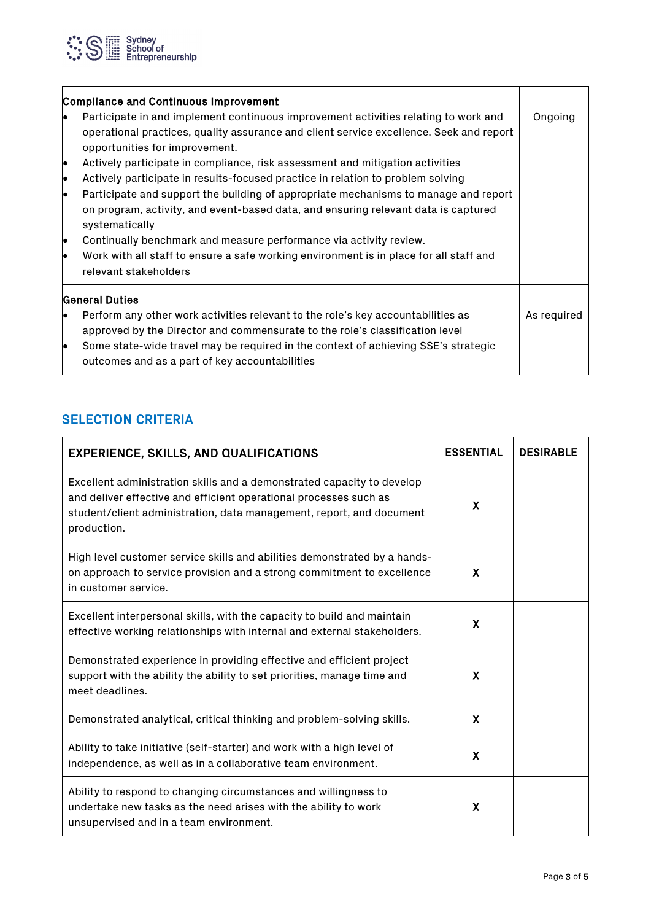

| <b>Compliance and Continuous Improvement</b> |                                                                                                                                                                                                                  |             |
|----------------------------------------------|------------------------------------------------------------------------------------------------------------------------------------------------------------------------------------------------------------------|-------------|
| lo                                           | Participate in and implement continuous improvement activities relating to work and<br>operational practices, quality assurance and client service excellence. Seek and report<br>opportunities for improvement. | Ongoing     |
| le                                           | Actively participate in compliance, risk assessment and mitigation activities                                                                                                                                    |             |
| le                                           | Actively participate in results-focused practice in relation to problem solving                                                                                                                                  |             |
| le                                           | Participate and support the building of appropriate mechanisms to manage and report                                                                                                                              |             |
|                                              | on program, activity, and event-based data, and ensuring relevant data is captured<br>systematically                                                                                                             |             |
| le                                           | Continually benchmark and measure performance via activity review.                                                                                                                                               |             |
| lo                                           | Work with all staff to ensure a safe working environment is in place for all staff and<br>relevant stakeholders                                                                                                  |             |
| <b>General Duties</b>                        |                                                                                                                                                                                                                  |             |
| lo                                           | Perform any other work activities relevant to the role's key accountabilities as                                                                                                                                 | As required |
|                                              | approved by the Director and commensurate to the role's classification level                                                                                                                                     |             |
| lo                                           | Some state-wide travel may be required in the context of achieving SSE's strategic                                                                                                                               |             |
|                                              | outcomes and as a part of key accountabilities                                                                                                                                                                   |             |

## **SELECTION CRITERIA**

| <b>EXPERIENCE, SKILLS, AND QUALIFICATIONS</b>                                                                                                                                                                                      | <b>ESSENTIAL</b>          | <b>DESIRABLE</b> |
|------------------------------------------------------------------------------------------------------------------------------------------------------------------------------------------------------------------------------------|---------------------------|------------------|
| Excellent administration skills and a demonstrated capacity to develop<br>and deliver effective and efficient operational processes such as<br>student/client administration, data management, report, and document<br>production. | X                         |                  |
| High level customer service skills and abilities demonstrated by a hands-<br>on approach to service provision and a strong commitment to excellence<br>in customer service.                                                        | X                         |                  |
| Excellent interpersonal skills, with the capacity to build and maintain<br>effective working relationships with internal and external stakeholders.                                                                                | $\boldsymbol{\mathsf{X}}$ |                  |
| Demonstrated experience in providing effective and efficient project<br>support with the ability the ability to set priorities, manage time and<br>meet deadlines.                                                                 | X                         |                  |
| Demonstrated analytical, critical thinking and problem-solving skills.                                                                                                                                                             | $\boldsymbol{\mathsf{X}}$ |                  |
| Ability to take initiative (self-starter) and work with a high level of<br>independence, as well as in a collaborative team environment.                                                                                           | X                         |                  |
| Ability to respond to changing circumstances and willingness to<br>undertake new tasks as the need arises with the ability to work<br>unsupervised and in a team environment.                                                      | X                         |                  |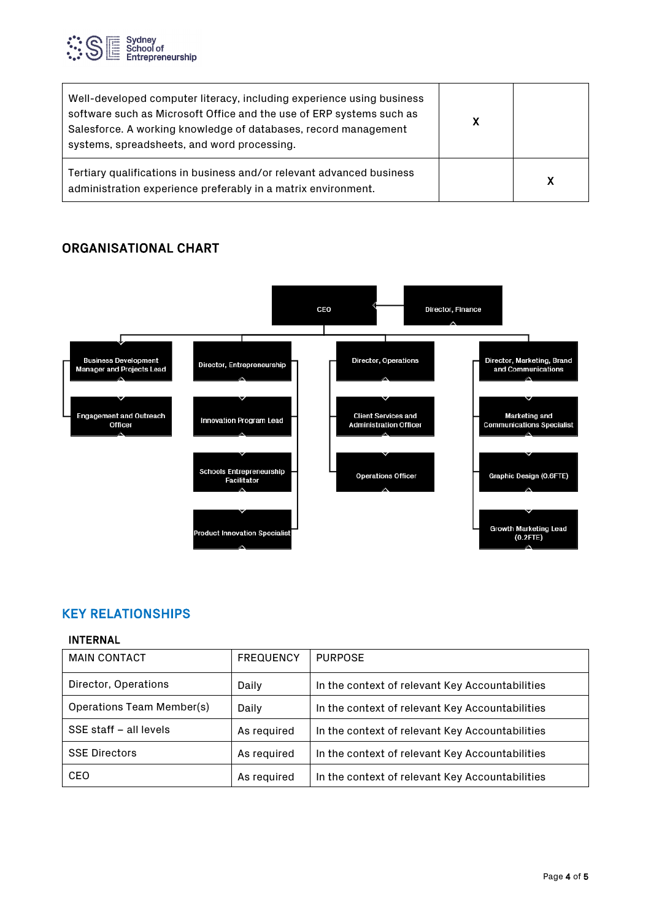

| Well-developed computer literacy, including experience using business<br>software such as Microsoft Office and the use of ERP systems such as<br>Salesforce. A working knowledge of databases, record management<br>systems, spreadsheets, and word processing. | X |  |
|-----------------------------------------------------------------------------------------------------------------------------------------------------------------------------------------------------------------------------------------------------------------|---|--|
| Tertiary qualifications in business and/or relevant advanced business<br>administration experience preferably in a matrix environment.                                                                                                                          |   |  |

## ORGANISATIONAL CHART



## KEY RELATIONSHIPS

#### INTERNAL

| <b>MAIN CONTACT</b>       | <b>FREQUENCY</b> | <b>PURPOSE</b>                                  |
|---------------------------|------------------|-------------------------------------------------|
| Director, Operations      | Daily            | In the context of relevant Key Accountabilities |
| Operations Team Member(s) | Daily            | In the context of relevant Key Accountabilities |
| SSE staff - all levels    | As required      | In the context of relevant Key Accountabilities |
| <b>SSE Directors</b>      | As required      | In the context of relevant Key Accountabilities |
| CEO                       | As required      | In the context of relevant Key Accountabilities |